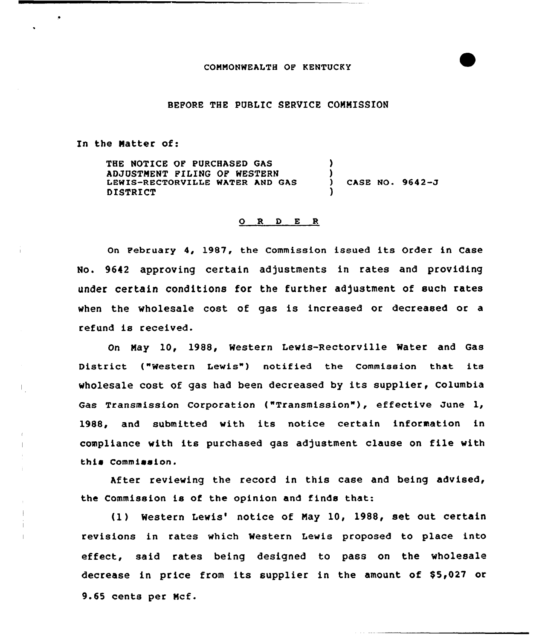#### BEFORE THE PUBLIC SERVICE COMMISSION

In the Natter of:

 $\parallel$ 

 $\mathbf{I}$ 

THE NOTICE OF PURCHASED GAS ADJUSTMENT FILING OF WESTERN LEWIS-RECTORVILLE WATER AND GAS DISTRICT ) ) ) CASE NO. 9642-J )

#### O R D E R

On February 4, 1987, the Commission issued its Order in Case No. 9642 approving certain adjustments in rates and providing under certain conditions for the further adjustment of such rates when the wholesale cost of gas is increased or decreased or a refund is received.

On Nay 10, 1988, Western Lewis-Rectorville Water and Gas District ("Western Lewis") notified the Commission that its wholesale cost of gas had been decreased by its supplier, Columbia Gas Transmission Corporation ("Transmission"), effective June 1, 1988, and submitted with its notice certain information in compliance with its purchased gas adjustment clause on file with this Commission.

After reviewing the record in this case and being advised, the Commission is of the opinion and finds that:

(1) Western Lewis' notice of May 10, 1988, set out certain revisions in rates which Western Lewis proposed to place into effect, said rates being designed to pass on the wholesale decrease in price from its supplier in the amount of \$5,027 or 9.65 cents per Mcf.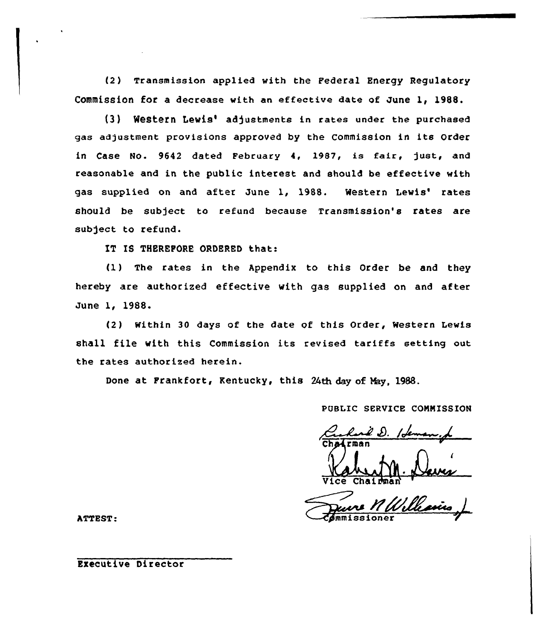(2) Transmission applied with the Federal Energy Regulatory Commission for a decrease with an effective date of June 1, 1988.

(3) Western Lewis' adjustments in rates under the purchased gas adjustment provisions approved by the Commission in its Order in Case No. 9642 dated February 4, 1987, is fair, just, and reasonable and in the public interest and should be effective with gas supplied on and after June 1, 1988. Western Lewis' rates should be subject to refund because Transmission's rates are subject to refund.

IT IS THEREFORE ORDERED that:

(1) The rates in the Appendix to this Order be and they hereby are authorized effective with gas supplied on and after June 1, 1988.

(2) Within 30 days of the date of this Order, Western Lewis shall file with this Commission its revised tariffs setting out the rates authorized herein.

Done at Frankfort, Kentucky, this 24th day of May, 1988.

PUBLIC SERVICE CONNISSION

Chairman<br>Chairman<br>Vice Chairman<br>Channissioner

n Will

*Pmmissione* 

ATTEST:

Executive Director